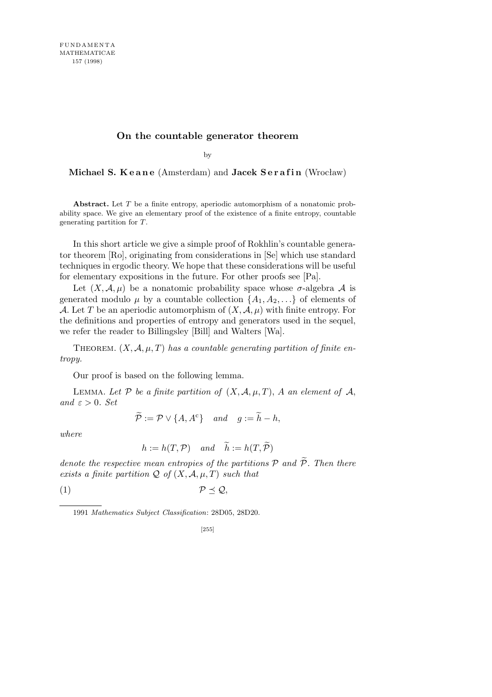## **On the countable generator theorem**

by

**Michael S. Keane** (Amsterdam) and **Jacek Serafin** (Wrocław)

**Abstract.** Let *T* be a finite entropy, aperiodic automorphism of a nonatomic probability space. We give an elementary proof of the existence of a finite entropy, countable generating partition for *T*.

In this short article we give a simple proof of Rokhlin's countable generator theorem [Ro], originating from considerations in [Se] which use standard techniques in ergodic theory. We hope that these considerations will be useful for elementary expositions in the future. For other proofs see [Pa].

Let  $(X, \mathcal{A}, \mu)$  be a nonatomic probability space whose  $\sigma$ -algebra  $\mathcal A$  is generated modulo  $\mu$  by a countable collection  $\{A_1, A_2, \ldots\}$  of elements of *A*. Let *T* be an aperiodic automorphism of  $(X, \mathcal{A}, \mu)$  with finite entropy. For the definitions and properties of entropy and generators used in the sequel, we refer the reader to Billingsley [Bill] and Walters [Wa].

THEOREM.  $(X, \mathcal{A}, \mu, T)$  has a countable generating partition of finite en*tropy.*

Our proof is based on the following lemma.

LEMMA. Let P be a finite partition of  $(X, \mathcal{A}, \mu, T)$ , A an element of  $\mathcal{A}$ , *and*  $\varepsilon > 0$ *. Set* 

 $\widetilde{\mathcal{P}} := \mathcal{P} \vee \{A, A^c\}$  *and*  $g := \widetilde{h} - h$ ,

*where*

$$
h := h(T, \mathcal{P})
$$
 and  $\tilde{h} := h(T, \tilde{\mathcal{P}})$ 

*denote the respective mean entropies of the partitions*  $P$  *and*  $\tilde{P}$ *. Then there exists a finite partition*  $Q$  *of*  $(X, \mathcal{A}, \mu, T)$  *such that* 

$$
(1) \t\t\t \mathcal{P} \preceq \mathcal{Q},
$$

<sup>1991</sup> *Mathematics Subject Classification*: 28D05, 28D20.

<sup>[255]</sup>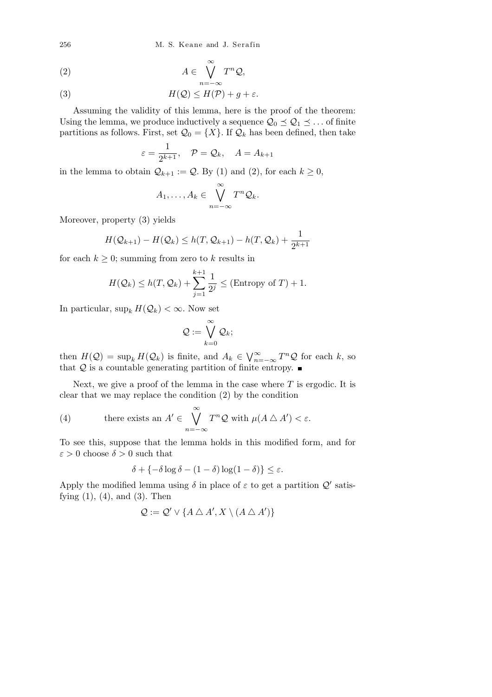256 M. S. Keane and J. Sera fin

$$
(2) \t\t A \in \bigvee^{\infty} T^n \mathcal{Q},
$$

(3) 
$$
H(Q) \leq H(\mathcal{P}) + g + \varepsilon.
$$

Assuming the validity of this lemma, here is the proof of the theorem: Using the lemma, we produce inductively a sequence  $\mathcal{Q}_0 \preceq \mathcal{Q}_1 \preceq \dots$  of finite partitions as follows. First, set  $\mathcal{Q}_0 = \{X\}$ . If  $\mathcal{Q}_k$  has been defined, then take

$$
\varepsilon = \frac{1}{2^{k+1}}, \quad \mathcal{P} = \mathcal{Q}_k, \quad A = A_{k+1}
$$

in the lemma to obtain  $Q_{k+1} := Q$ . By (1) and (2), for each  $k \geq 0$ ,

$$
A_1,\ldots,A_k\in\bigvee_{n=-\infty}^{\infty}T^n\mathcal{Q}_k.
$$

Moreover, property (3) yields

$$
H(\mathcal{Q}_{k+1}) - H(\mathcal{Q}_k) \leq h(T, \mathcal{Q}_{k+1}) - h(T, \mathcal{Q}_k) + \frac{1}{2^{k+1}}
$$

for each  $k \geq 0$ ; summing from zero to k results in

$$
H(Q_k) \le h(T, Q_k) + \sum_{j=1}^{k+1} \frac{1}{2^j} \le (\text{Entropy of } T) + 1.
$$

In particular,  $\sup_k H(Q_k) < \infty$ . Now set

$$
\mathcal{Q}:=\bigvee_{k=0}^{\infty}\mathcal{Q}_k;
$$

then  $H(Q) = \sup_k H(Q_k)$  is finite, and  $A_k \in$ W*<sup>∞</sup> <sup>n</sup>*=*−∞ T <sup>n</sup>Q* for each *k*, so that  $Q$  is a countable generating partition of finite entropy.  $\blacksquare$ 

Next, we give a proof of the lemma in the case where *T* is ergodic. It is clear that we may replace the condition (2) by the condition

(4) there exists an 
$$
A' \in \bigvee_{n=-\infty}^{\infty} T^n \mathcal{Q}
$$
 with  $\mu(A \triangle A') < \varepsilon$ .

To see this, suppose that the lemma holds in this modified form, and for  $\varepsilon > 0$  choose  $\delta > 0$  such that

$$
\delta + \{-\delta \log \delta - (1 - \delta) \log (1 - \delta)\} \le \varepsilon.
$$

Apply the modified lemma using  $\delta$  in place of  $\varepsilon$  to get a partition  $\mathcal{Q}'$  satisfying  $(1)$ ,  $(4)$ , and  $(3)$ . Then

$$
\mathcal{Q} := \mathcal{Q}' \vee \{ A \bigtriangleup A', X \setminus (A \bigtriangleup A') \}
$$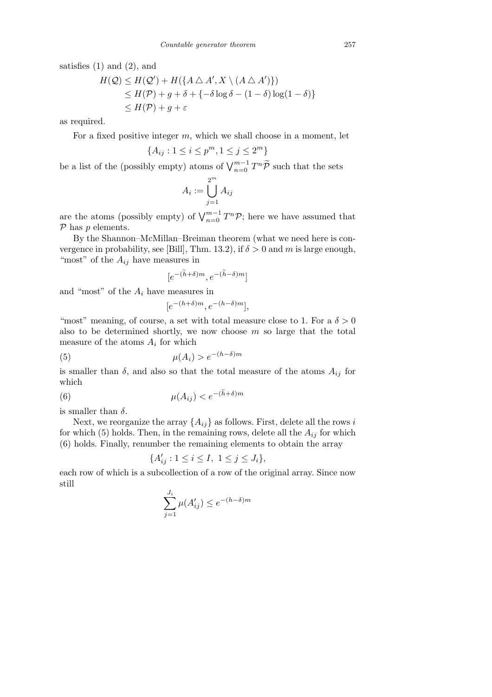satisfies  $(1)$  and  $(2)$ , and

$$
H(Q) \le H(Q') + H(\lbrace A \bigtriangleup A', X \setminus (A \bigtriangleup A' \rbrace) \rbrace)
$$
  
\n
$$
\le H(\mathcal{P}) + g + \delta + \lbrace -\delta \log \delta - (1 - \delta) \log(1 - \delta) \rbrace
$$
  
\n
$$
\le H(\mathcal{P}) + g + \varepsilon
$$

as required.

For a fixed positive integer *m*, which we shall choose in a moment, let

$$
\{A_{ij}: 1 \le i \le p^m, 1 \le j \le 2^m\}
$$

be a list of the (possibly empty) atoms of  $\bigvee_{n=0}^{m-1} T^n \widetilde{\mathcal{P}}$  such that the sets

$$
A_i := \bigcup_{j=1}^{2^m} A_{ij}
$$

are the atoms (possibly empty) of  $\bigvee_{n=0}^{m-1} T^n \mathcal{P}$ ; here we have assumed that *P* has *p* elements.

By the Shannon–McMillan–Breiman theorem (what we need here is convergence in probability, see [Bill], Thm. 13.2), if  $\delta > 0$  and *m* is large enough, "most" of the  $A_{ij}$  have measures in

$$
[e^{-(\widetilde{h}+\delta)m}, e^{-(\widetilde{h}-\delta)m}]
$$

and "most" of the *A<sup>i</sup>* have measures in

$$
[e^{-(h+\delta)m}, e^{-(h-\delta)m}],
$$

"most" meaning, of course, a set with total measure close to 1. For a  $\delta > 0$ also to be determined shortly, we now choose *m* so large that the total measure of the atoms  $A_i$  for which

(5) 
$$
\mu(A_i) > e^{-(h-\delta)m}
$$

is smaller than  $\delta$ , and also so that the total measure of the atoms  $A_{ij}$  for which

(6) 
$$
\mu(A_{ij}) < e^{-(\tilde{h}+\delta)m}
$$

is smaller than *δ*.

Next, we reorganize the array  $\{A_{ij}\}$  as follows. First, delete all the rows *i* for which (5) holds. Then, in the remaining rows, delete all the  $A_{ij}$  for which (6) holds. Finally, renumber the remaining elements to obtain the array

$$
\{A'_{ij} : 1 \le i \le I, \ 1 \le j \le J_i\},\
$$

each row of which is a subcollection of a row of the original array. Since now still

$$
\sum_{j=1}^{J_i} \mu(A'_{ij}) \le e^{-(h-\delta)m}
$$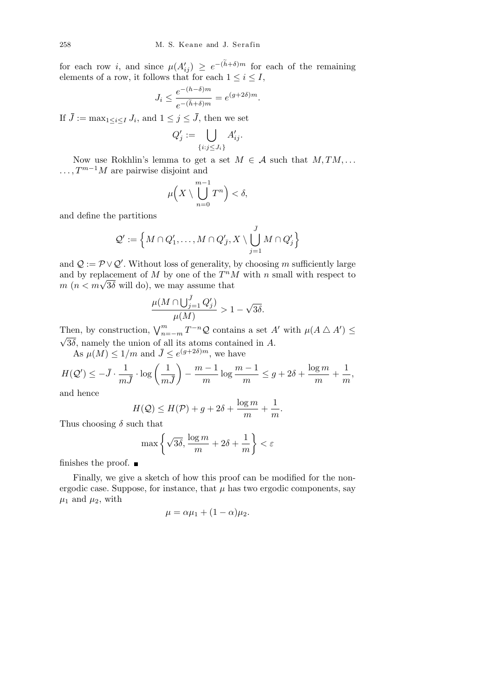for each row *i*, and since  $\mu(A'_{ij}) \geq e^{-(\tilde{h}+\delta)m}$  for each of the remaining elements of a row, it follows that for each  $1 \leq i \leq I$ ,

$$
J_i \le \frac{e^{-(h-\delta)m}}{e^{-(\widetilde{h}+\delta)m}} = e^{(g+2\delta)m}.
$$

If  $\bar{J} := \max_{1 \leq i \leq I} J_i$ , and  $1 \leq j \leq \bar{J}$ , then we set

$$
Q'_j := \bigcup_{\{i:j\leq J_i\}} A'_{ij}.
$$

Now use Rokhlin's lemma to get a set  $M \in \mathcal{A}$  such that  $M, TM, \ldots$ *...*,  $T^{m-1}M$  are pairwise disjoint and

$$
\mu\Big(X\setminus\bigcup_{n=0}^{m-1}T^n\Big)<\delta,
$$

and define the partitions

$$
\mathcal{Q}':=\Big\{M\cap Q'_1,\ldots,M\cap Q'_{\bar J},X\setminus\bigcup_{j=1}^{\bar J}M\cap Q'_j\Big\}
$$

and  $Q := \mathcal{P} \vee Q'$ . Without loss of generality, by choosing *m* sufficiently large and by replacement of  $M$  by one of the  $T^nM$  with  $n$  small with respect to and by replacement of *M* by one of the  $T^n M$ <br>*m*  $(n < m\sqrt{3\delta}$  will do), we may assume that

$$
\frac{\mu(M \cap \bigcup_{j=1}^{\overline{J}} Q_j')}{\mu(M)} > 1 - \sqrt{3\delta}.
$$

Then, by construction,  $\bigvee_{n=-m}^{m} T^{-n} \mathcal{Q}$  contains a set *A<sup><i>i*</sup> with  $\mu(A \triangle A') \leq$  $\sqrt{3\delta}$ , namely the union of all its atoms contained in *A*.

As  $\mu(M) \leq 1/m$  and  $\bar{J} \leq e^{(g+2\delta)m}$ , we have

$$
H(Q') \le -\bar{J} \cdot \frac{1}{m\bar{J}} \cdot \log\left(\frac{1}{m\bar{J}}\right) - \frac{m-1}{m}\log\frac{m-1}{m} \le g + 2\delta + \frac{\log m}{m} + \frac{1}{m},
$$

and hence

$$
H(Q) \le H(\mathcal{P}) + g + 2\delta + \frac{\log m}{m} + \frac{1}{m}.
$$

Thus choosing  $\delta$  such that

$$
\max\left\{\sqrt{3\delta}, \frac{\log m}{m} + 2\delta + \frac{1}{m}\right\} < \varepsilon
$$

finishes the proof.  $\blacksquare$ 

Finally, we give a sketch of how this proof can be modified for the nonergodic case. Suppose, for instance, that  $\mu$  has two ergodic components, say  $\mu_1$  and  $\mu_2$ , with

$$
\mu = \alpha \mu_1 + (1 - \alpha) \mu_2.
$$